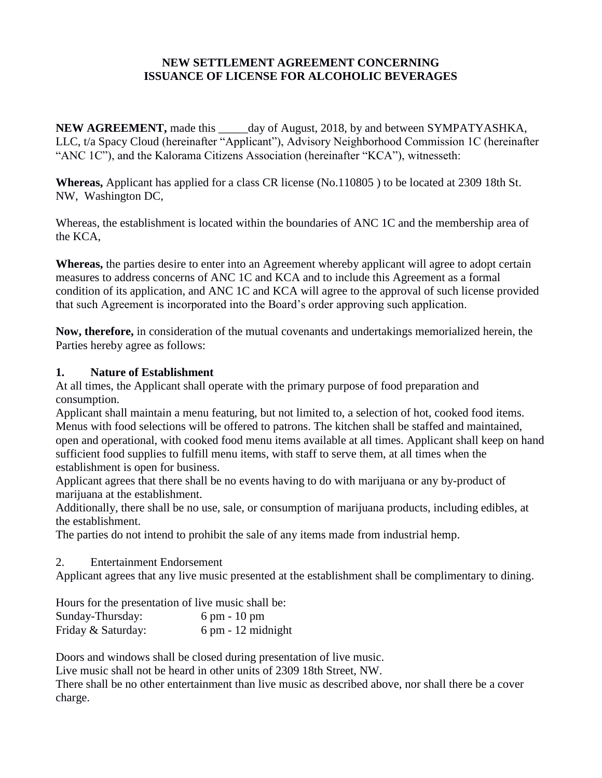### **NEW SETTLEMENT AGREEMENT CONCERNING ISSUANCE OF LICENSE FOR ALCOHOLIC BEVERAGES**

**NEW AGREEMENT,** made this \_\_\_\_\_day of August, 2018, by and between SYMPATYASHKA, LLC, t/a Spacy Cloud (hereinafter "Applicant"), Advisory Neighborhood Commission 1C (hereinafter "ANC 1C"), and the Kalorama Citizens Association (hereinafter "KCA"), witnesseth:

**Whereas,** Applicant has applied for a class CR license (No.110805 ) to be located at 2309 18th St. NW, Washington DC,

Whereas, the establishment is located within the boundaries of ANC 1C and the membership area of the KCA,

**Whereas,** the parties desire to enter into an Agreement whereby applicant will agree to adopt certain measures to address concerns of ANC 1C and KCA and to include this Agreement as a formal condition of its application, and ANC 1C and KCA will agree to the approval of such license provided that such Agreement is incorporated into the Board's order approving such application.

**Now, therefore,** in consideration of the mutual covenants and undertakings memorialized herein, the Parties hereby agree as follows:

### **1. Nature of Establishment**

At all times, the Applicant shall operate with the primary purpose of food preparation and consumption.

Applicant shall maintain a menu featuring, but not limited to, a selection of hot, cooked food items. Menus with food selections will be offered to patrons. The kitchen shall be staffed and maintained, open and operational, with cooked food menu items available at all times. Applicant shall keep on hand sufficient food supplies to fulfill menu items, with staff to serve them, at all times when the establishment is open for business.

Applicant agrees that there shall be no events having to do with marijuana or any by-product of marijuana at the establishment.

Additionally, there shall be no use, sale, or consumption of marijuana products, including edibles, at the establishment.

The parties do not intend to prohibit the sale of any items made from industrial hemp.

### 2. Entertainment Endorsement

Applicant agrees that any live music presented at the establishment shall be complimentary to dining.

Hours for the presentation of live music shall be:

| Sunday-Thursday:   | $6 \text{ pm} - 10 \text{ pm}$       |
|--------------------|--------------------------------------|
| Friday & Saturday: | $6 \text{ pm} - 12 \text{ midnight}$ |

Doors and windows shall be closed during presentation of live music.

Live music shall not be heard in other units of 2309 18th Street, NW.

There shall be no other entertainment than live music as described above, nor shall there be a cover charge.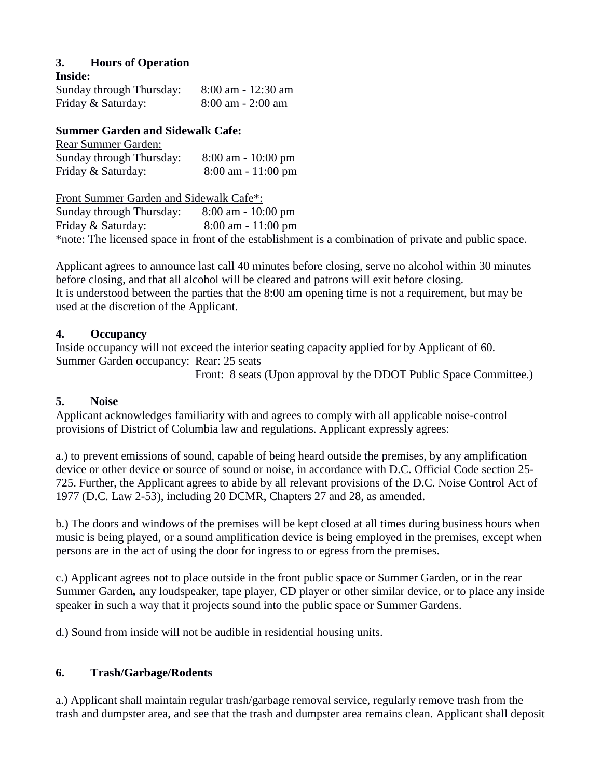# **3. Hours of Operation**

#### **Inside:**

Sunday through Thursday: 8:00 am - 12:30 am Friday & Saturday: 8:00 am - 2:00 am

### **Summer Garden and Sidewalk Cafe:**

| Rear Summer Garden:      |                       |
|--------------------------|-----------------------|
| Sunday through Thursday: | $8:00$ am $-10:00$ pm |
| Friday & Saturday:       | $8:00$ am $-11:00$ pm |

Front Summer Garden and Sidewalk Cafe\*: Sunday through Thursday: 8:00 am - 10:00 pm Friday & Saturday: 8:00 am - 11:00 pm \*note: The licensed space in front of the establishment is a combination of private and public space.

Applicant agrees to announce last call 40 minutes before closing, serve no alcohol within 30 minutes before closing, and that all alcohol will be cleared and patrons will exit before closing. It is understood between the parties that the 8:00 am opening time is not a requirement, but may be used at the discretion of the Applicant.

### **4. Occupancy**

Inside occupancy will not exceed the interior seating capacity applied for by Applicant of 60. Summer Garden occupancy: Rear: 25 seats

Front: 8 seats (Upon approval by the DDOT Public Space Committee.)

# **5. Noise**

Applicant acknowledges familiarity with and agrees to comply with all applicable noise-control provisions of District of Columbia law and regulations. Applicant expressly agrees:

a.) to prevent emissions of sound, capable of being heard outside the premises, by any amplification device or other device or source of sound or noise, in accordance with D.C. Official Code section 25- 725. Further, the Applicant agrees to abide by all relevant provisions of the D.C. Noise Control Act of 1977 (D.C. Law 2-53), including 20 DCMR, Chapters 27 and 28, as amended.

b.) The doors and windows of the premises will be kept closed at all times during business hours when music is being played, or a sound amplification device is being employed in the premises, except when persons are in the act of using the door for ingress to or egress from the premises.

c.) Applicant agrees not to place outside in the front public space or Summer Garden, or in the rear Summer Garden*,* any loudspeaker, tape player, CD player or other similar device, or to place any inside speaker in such a way that it projects sound into the public space or Summer Gardens.

d.) Sound from inside will not be audible in residential housing units.

# **6. Trash/Garbage/Rodents**

a.) Applicant shall maintain regular trash/garbage removal service, regularly remove trash from the trash and dumpster area, and see that the trash and dumpster area remains clean. Applicant shall deposit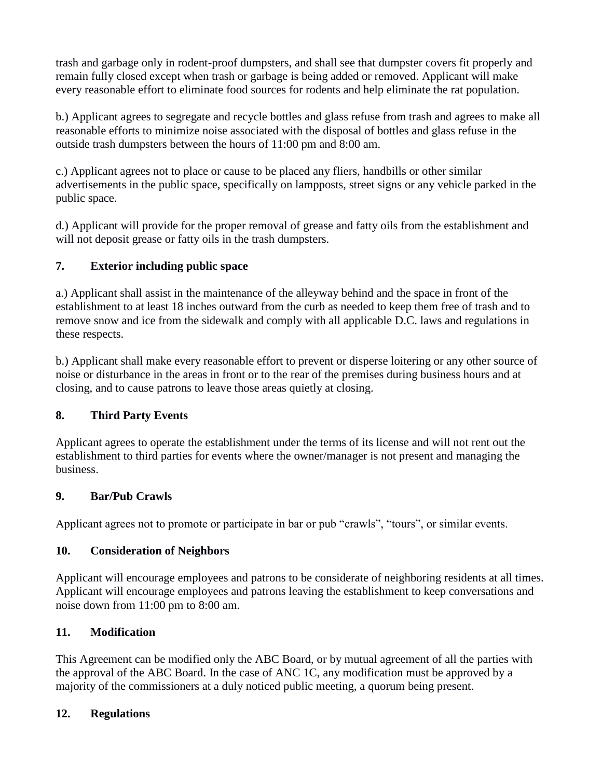trash and garbage only in rodent-proof dumpsters, and shall see that dumpster covers fit properly and remain fully closed except when trash or garbage is being added or removed. Applicant will make every reasonable effort to eliminate food sources for rodents and help eliminate the rat population.

b.) Applicant agrees to segregate and recycle bottles and glass refuse from trash and agrees to make all reasonable efforts to minimize noise associated with the disposal of bottles and glass refuse in the outside trash dumpsters between the hours of 11:00 pm and 8:00 am.

c.) Applicant agrees not to place or cause to be placed any fliers, handbills or other similar advertisements in the public space, specifically on lampposts, street signs or any vehicle parked in the public space.

d.) Applicant will provide for the proper removal of grease and fatty oils from the establishment and will not deposit grease or fatty oils in the trash dumpsters.

# **7. Exterior including public space**

a.) Applicant shall assist in the maintenance of the alleyway behind and the space in front of the establishment to at least 18 inches outward from the curb as needed to keep them free of trash and to remove snow and ice from the sidewalk and comply with all applicable D.C. laws and regulations in these respects.

b.) Applicant shall make every reasonable effort to prevent or disperse loitering or any other source of noise or disturbance in the areas in front or to the rear of the premises during business hours and at closing, and to cause patrons to leave those areas quietly at closing.

### **8. Third Party Events**

Applicant agrees to operate the establishment under the terms of its license and will not rent out the establishment to third parties for events where the owner/manager is not present and managing the business.

### **9. Bar/Pub Crawls**

Applicant agrees not to promote or participate in bar or pub "crawls", "tours", or similar events.

### **10. Consideration of Neighbors**

Applicant will encourage employees and patrons to be considerate of neighboring residents at all times. Applicant will encourage employees and patrons leaving the establishment to keep conversations and noise down from 11:00 pm to 8:00 am.

# **11. Modification**

This Agreement can be modified only the ABC Board, or by mutual agreement of all the parties with the approval of the ABC Board. In the case of ANC 1C, any modification must be approved by a majority of the commissioners at a duly noticed public meeting, a quorum being present.

# **12. Regulations**